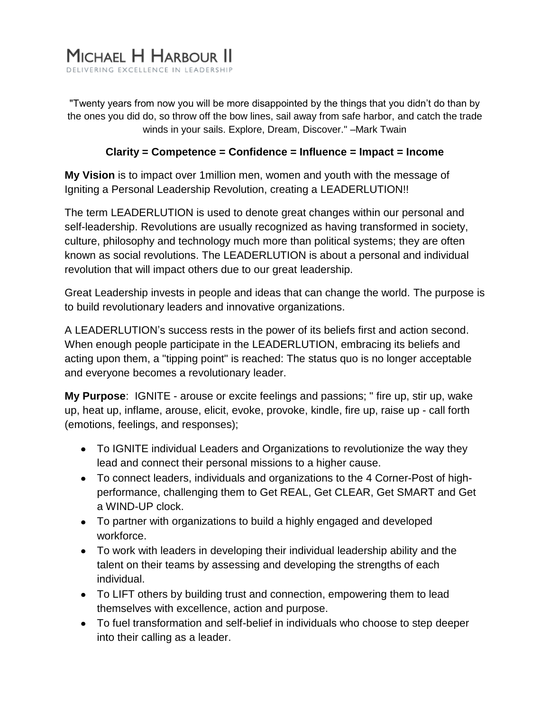"Twenty years from now you will be more disappointed by the things that you didn't do than by the ones you did do, so throw off the bow lines, sail away from safe harbor, and catch the trade winds in your sails. Explore, Dream, Discover." –Mark Twain

# **Clarity = Competence = Confidence = Influence = Impact = Income**

**My Vision** is to impact over 1million men, women and youth with the message of Igniting a Personal Leadership Revolution, creating a LEADERLUTION!!

The term LEADERLUTION is used to denote great changes within our personal and self-leadership. Revolutions are usually recognized as having transformed in society, culture, philosophy and technology much more than political systems; they are often known as social revolutions. The LEADERLUTION is about a personal and individual revolution that will impact others due to our great leadership.

Great Leadership invests in people and ideas that can change the world. The purpose is to build revolutionary leaders and innovative organizations.

A LEADERLUTION's success rests in the power of its beliefs first and action second. When enough people participate in the LEADERLUTION, embracing its beliefs and acting upon them, a "tipping point" is reached: The status quo is no longer acceptable and everyone becomes a revolutionary leader.

**My Purpose**: IGNITE - arouse or excite feelings and passions; " fire up, stir up, wake up, heat up, inflame, arouse, elicit, evoke, provoke, kindle, fire up, raise up - call forth (emotions, feelings, and responses);

- To IGNITE individual Leaders and Organizations to revolutionize the way they lead and connect their personal missions to a higher cause.
- To connect leaders, individuals and organizations to the 4 Corner-Post of highperformance, challenging them to Get REAL, Get CLEAR, Get SMART and Get a WIND-UP clock.
- To partner with organizations to build a highly engaged and developed workforce.
- To work with leaders in developing their individual leadership ability and the talent on their teams by assessing and developing the strengths of each individual.
- To LIFT others by building trust and connection, empowering them to lead themselves with excellence, action and purpose.
- To fuel transformation and self-belief in individuals who choose to step deeper into their calling as a leader.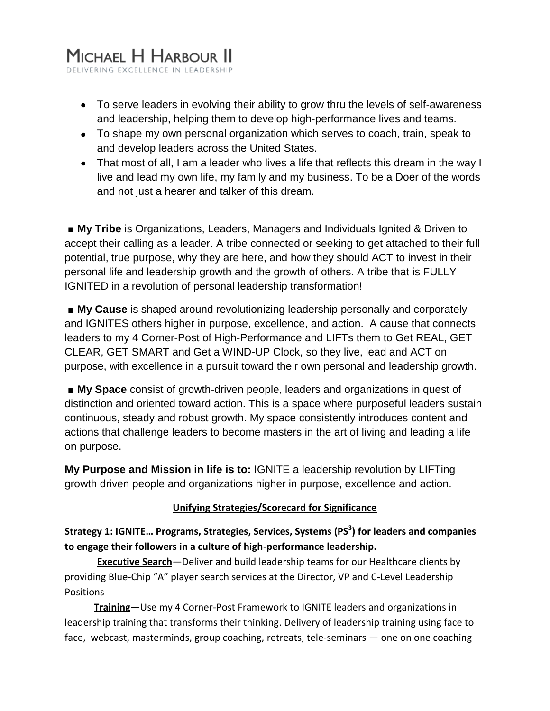- To serve leaders in evolving their ability to grow thru the levels of self-awareness and leadership, helping them to develop high-performance lives and teams.
- To shape my own personal organization which serves to coach, train, speak to and develop leaders across the United States.
- That most of all, I am a leader who lives a life that reflects this dream in the way I live and lead my own life, my family and my business. To be a Doer of the words and not just a hearer and talker of this dream.

■ My Tribe is Organizations, Leaders, Managers and Individuals Ignited & Driven to accept their calling as a leader. A tribe connected or seeking to get attached to their full potential, true purpose, why they are here, and how they should ACT to invest in their personal life and leadership growth and the growth of others. A tribe that is FULLY IGNITED in a revolution of personal leadership transformation!

■ **My Cause** is shaped around revolutionizing leadership personally and corporately and IGNITES others higher in purpose, excellence, and action. A cause that connects leaders to my 4 Corner-Post of High-Performance and LIFTs them to Get REAL, GET CLEAR, GET SMART and Get a WIND-UP Clock, so they live, lead and ACT on purpose, with excellence in a pursuit toward their own personal and leadership growth.

■ My Space consist of growth-driven people, leaders and organizations in quest of distinction and oriented toward action. This is a space where purposeful leaders sustain continuous, steady and robust growth. My space consistently introduces content and actions that challenge leaders to become masters in the art of living and leading a life on purpose.

**My Purpose and Mission in life is to:** IGNITE a leadership revolution by LIFTing growth driven people and organizations higher in purpose, excellence and action.

# **Unifying Strategies/Scorecard for Significance**

**Strategy 1: IGNITE… Programs, Strategies, Services, Systems (PS<sup>3</sup> ) for leaders and companies to engage their followers in a culture of high-performance leadership.**

**Executive Search**—Deliver and build leadership teams for our Healthcare clients by providing Blue-Chip "A" player search services at the Director, VP and C-Level Leadership Positions

 **Training**—Use my 4 Corner-Post Framework to IGNITE leaders and organizations in leadership training that transforms their thinking. Delivery of leadership training using face to face, webcast, masterminds, group coaching, retreats, tele-seminars — one on one coaching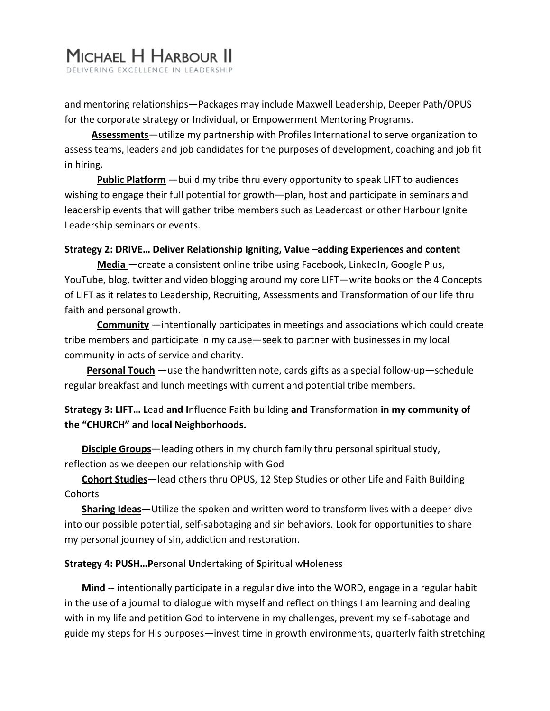and mentoring relationships—Packages may include Maxwell Leadership, Deeper Path/OPUS for the corporate strategy or Individual, or Empowerment Mentoring Programs.

 **Assessments**—utilize my partnership with Profiles International to serve organization to assess teams, leaders and job candidates for the purposes of development, coaching and job fit in hiring.

**Public Platform** —build my tribe thru every opportunity to speak LIFT to audiences wishing to engage their full potential for growth—plan, host and participate in seminars and leadership events that will gather tribe members such as Leadercast or other Harbour Ignite Leadership seminars or events.

#### **Strategy 2: DRIVE… Deliver Relationship Igniting, Value –adding Experiences and content**

**Media** —create a consistent online tribe using Facebook, LinkedIn, Google Plus, YouTube, blog, twitter and video blogging around my core LIFT—write books on the 4 Concepts of LIFT as it relates to Leadership, Recruiting, Assessments and Transformation of our life thru faith and personal growth.

**Community** —intentionally participates in meetings and associations which could create tribe members and participate in my cause—seek to partner with businesses in my local community in acts of service and charity.

 **Personal Touch** —use the handwritten note, cards gifts as a special follow-up—schedule regular breakfast and lunch meetings with current and potential tribe members.

# **Strategy 3: LIFT… L**ead **and I**nfluence **F**aith building **and T**ransformation **in my community of the "CHURCH" and local Neighborhoods.**

 **Disciple Groups**—leading others in my church family thru personal spiritual study, reflection as we deepen our relationship with God

 **Cohort Studies**—lead others thru OPUS, 12 Step Studies or other Life and Faith Building Cohorts

 **Sharing Ideas**—Utilize the spoken and written word to transform lives with a deeper dive into our possible potential, self-sabotaging and sin behaviors. Look for opportunities to share my personal journey of sin, addiction and restoration.

### **Strategy 4: PUSH…P**ersonal **U**ndertaking of **S**piritual w**H**oleness

**Mind** -- intentionally participate in a regular dive into the WORD, engage in a regular habit in the use of a journal to dialogue with myself and reflect on things I am learning and dealing with in my life and petition God to intervene in my challenges, prevent my self-sabotage and guide my steps for His purposes—invest time in growth environments, quarterly faith stretching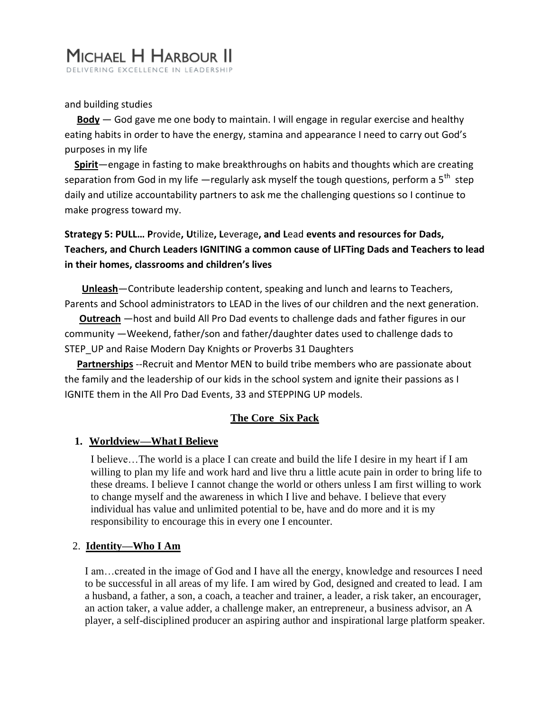#### and building studies

 **Body** — God gave me one body to maintain. I will engage in regular exercise and healthy eating habits in order to have the energy, stamina and appearance I need to carry out God's purposes in my life

 **Spirit**—engage in fasting to make breakthroughs on habits and thoughts which are creating separation from God in my life —regularly ask myself the tough questions, perform a 5<sup>th</sup> step daily and utilize accountability partners to ask me the challenging questions so I continue to make progress toward my.

**Strategy 5: PULL… P**rovide**, U**tilize**, L**everage**, and L**ead **events and resources for Dads, Teachers, and Church Leaders IGNITING a common cause of LIFTing Dads and Teachers to lead in their homes, classrooms and children's lives**

 **Unleash**—Contribute leadership content, speaking and lunch and learns to Teachers, Parents and School administrators to LEAD in the lives of our children and the next generation.

 **Outreach** —host and build All Pro Dad events to challenge dads and father figures in our community —Weekend, father/son and father/daughter dates used to challenge dads to STEP\_UP and Raise Modern Day Knights or Proverbs 31 Daughters

 **Partnerships** --Recruit and Mentor MEN to build tribe members who are passionate about the family and the leadership of our kids in the school system and ignite their passions as I IGNITE them in the All Pro Dad Events, 33 and STEPPING UP models.

### **The Core Six Pack**

#### **1. Worldview—WhatI Believe**

I believe…The world is a place I can create and build the life I desire in my heart if I am willing to plan my life and work hard and live thru a little acute pain in order to bring life to these dreams. I believe I cannot change the world or others unless I am first willing to work to change myself and the awareness in which I live and behave. I believe that every individual has value and unlimited potential to be, have and do more and it is my responsibility to encourage this in every one I encounter.

#### 2. **Identity—Who I Am**

I am…created in the image of God and I have all the energy, knowledge and resources I need to be successful in all areas of my life. I am wired by God, designed and created to lead. I am a husband, a father, a son, a coach, a teacher and trainer, a leader, a risk taker, an encourager, an action taker, a value adder, a challenge maker, an entrepreneur, a business advisor, an A player, a self-disciplined producer an aspiring author and inspirational large platform speaker.